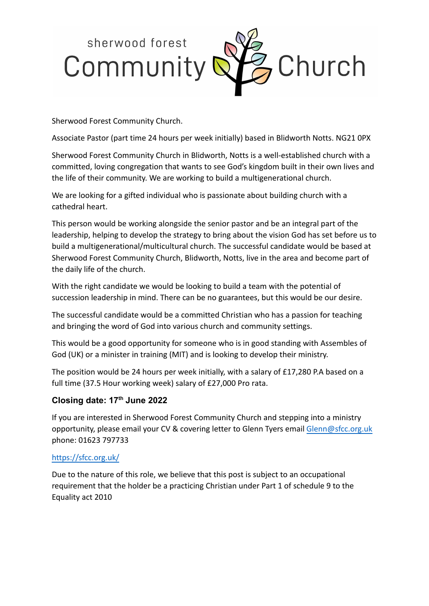

Sherwood Forest Community Church.

Associate Pastor (part time 24 hours per week initially) based in Blidworth Notts. NG21 0PX

Sherwood Forest Community Church in Blidworth, Notts is a well-established church with a committed, loving congregation that wants to see God's kingdom built in their own lives and the life of their community. We are working to build a multigenerational church.

We are looking for a gifted individual who is passionate about building church with a cathedral heart.

This person would be working alongside the senior pastor and be an integral part of the leadership, helping to develop the strategy to bring about the vision God has set before us to build a multigenerational/multicultural church. The successful candidate would be based at Sherwood Forest Community Church, Blidworth, Notts, live in the area and become part of the daily life of the church.

With the right candidate we would be looking to build a team with the potential of succession leadership in mind. There can be no guarantees, but this would be our desire.

The successful candidate would be a committed Christian who has a passion for teaching and bringing the word of God into various church and community settings.

This would be a good opportunity for someone who is in good standing with Assembles of God (UK) or a minister in training (MIT) and is looking to develop their ministry.

The position would be 24 hours per week initially, with a salary of £17,280 P.A based on a full time (37.5 Hour working week) salary of £27,000 Pro rata.

## **Closing date: 17th June 2022**

If you are interested in Sherwood Forest Community Church and stepping into a ministry opportunity, please email your CV & covering letter to Glenn Tyers email [Glenn@sfcc.org.uk](mailto:Glenn@sfcc.org.uk) phone: 01623 797733

## <https://sfcc.org.uk/>

Due to the nature of this role, we believe that this post is subject to an occupational requirement that the holder be a practicing Christian under Part 1 of schedule 9 to the Equality act 2010